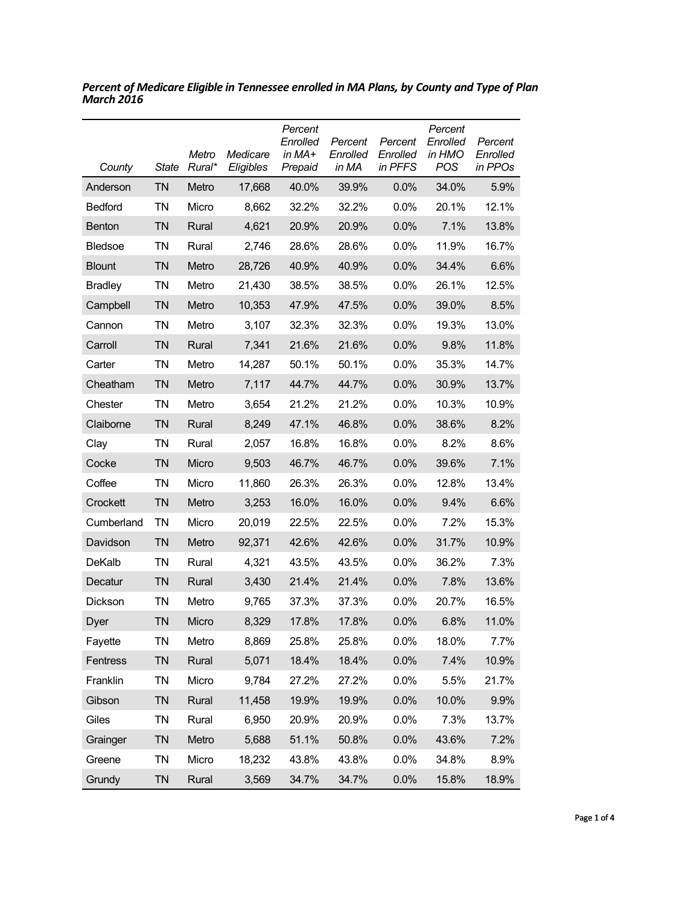| County         | State     | Metro<br>Rural* | Medicare<br>Eligibles | Percent<br>Enrolled<br>in MA+<br>Prepaid | Percent<br>Enrolled<br>in MA | Percent<br>Enrolled<br>in PFFS | Percent<br>Enrolled<br>in HMO<br>POS | Percent<br>Enrolled<br>in PPOs |
|----------------|-----------|-----------------|-----------------------|------------------------------------------|------------------------------|--------------------------------|--------------------------------------|--------------------------------|
| Anderson       | TN        | Metro           | 17,668                | 40.0%                                    | 39.9%                        | 0.0%                           | 34.0%                                | 5.9%                           |
| <b>Bedford</b> | ΤN        | Micro           | 8,662                 | 32.2%                                    | 32.2%                        | $0.0\%$                        | 20.1%                                | 12.1%                          |
| <b>Benton</b>  | <b>TN</b> | Rural           | 4,621                 | 20.9%                                    | 20.9%                        | 0.0%                           | 7.1%                                 | 13.8%                          |
| <b>Bledsoe</b> | ΤN        | Rural           | 2,746                 | 28.6%                                    | 28.6%                        | $0.0\%$                        | 11.9%                                | 16.7%                          |
| <b>Blount</b>  | <b>TN</b> | Metro           | 28,726                | 40.9%                                    | 40.9%                        | 0.0%                           | 34.4%                                | 6.6%                           |
| <b>Bradley</b> | <b>TN</b> | Metro           | 21,430                | 38.5%                                    | 38.5%                        | $0.0\%$                        | 26.1%                                | 12.5%                          |
| Campbell       | <b>TN</b> | Metro           | 10,353                | 47.9%                                    | 47.5%                        | 0.0%                           | 39.0%                                | 8.5%                           |
| Cannon         | <b>TN</b> | Metro           | 3,107                 | 32.3%                                    | 32.3%                        | 0.0%                           | 19.3%                                | 13.0%                          |
| Carroll        | <b>TN</b> | Rural           | 7,341                 | 21.6%                                    | 21.6%                        | 0.0%                           | 9.8%                                 | 11.8%                          |
| Carter         | ΤN        | Metro           | 14,287                | 50.1%                                    | 50.1%                        | 0.0%                           | 35.3%                                | 14.7%                          |
| Cheatham       | <b>TN</b> | Metro           | 7,117                 | 44.7%                                    | 44.7%                        | 0.0%                           | 30.9%                                | 13.7%                          |
| Chester        | <b>TN</b> | Metro           | 3,654                 | 21.2%                                    | 21.2%                        | 0.0%                           | 10.3%                                | 10.9%                          |
| Claiborne      | ΤN        | Rural           | 8,249                 | 47.1%                                    | 46.8%                        | 0.0%                           | 38.6%                                | 8.2%                           |
| Clay           | TN        | Rural           | 2,057                 | 16.8%                                    | 16.8%                        | 0.0%                           | 8.2%                                 | 8.6%                           |
| Cocke          | <b>TN</b> | Micro           | 9,503                 | 46.7%                                    | 46.7%                        | 0.0%                           | 39.6%                                | 7.1%                           |
| Coffee         | TN        | Micro           | 11,860                | 26.3%                                    | 26.3%                        | $0.0\%$                        | 12.8%                                | 13.4%                          |
| Crockett       | <b>TN</b> | Metro           | 3,253                 | 16.0%                                    | 16.0%                        | 0.0%                           | 9.4%                                 | 6.6%                           |
| Cumberland     | ΤN        | Micro           | 20,019                | 22.5%                                    | 22.5%                        | 0.0%                           | 7.2%                                 | 15.3%                          |
| Davidson       | <b>TN</b> | Metro           | 92,371                | 42.6%                                    | 42.6%                        | 0.0%                           | 31.7%                                | 10.9%                          |
| <b>DeKalb</b>  | ΤN        | Rural           | 4,321                 | 43.5%                                    | 43.5%                        | 0.0%                           | 36.2%                                | 7.3%                           |
| Decatur        | <b>TN</b> | Rural           | 3,430                 | 21.4%                                    | 21.4%                        | 0.0%                           | 7.8%                                 | 13.6%                          |
| Dickson        | ΤN        | Metro           | 9,765                 | 37.3%                                    | 37.3%                        | $0.0\%$                        | 20.7%                                | 16.5%                          |
| Dyer           | ΤN        | Micro           | 8,329                 | 17.8%                                    | 17.8%                        | 0.0%                           | 6.8%                                 | 11.0%                          |
| Fayette        | TN        | Metro           | 8,869                 | 25.8%                                    | 25.8%                        | 0.0%                           | 18.0%                                | 7.7%                           |
| Fentress       | <b>TN</b> | Rural           | 5,071                 | 18.4%                                    | 18.4%                        | 0.0%                           | 7.4%                                 | 10.9%                          |
| Franklin       | TN        | Micro           | 9,784                 | 27.2%                                    | 27.2%                        | 0.0%                           | 5.5%                                 | 21.7%                          |
| Gibson         | <b>TN</b> | Rural           | 11,458                | 19.9%                                    | 19.9%                        | 0.0%                           | 10.0%                                | 9.9%                           |
| Giles          | TN        | Rural           | 6,950                 | 20.9%                                    | 20.9%                        | 0.0%                           | 7.3%                                 | 13.7%                          |
| Grainger       | <b>TN</b> | Metro           | 5,688                 | 51.1%                                    | 50.8%                        | 0.0%                           | 43.6%                                | 7.2%                           |
| Greene         | TN        | Micro           | 18,232                | 43.8%                                    | 43.8%                        | 0.0%                           | 34.8%                                | 8.9%                           |
| Grundy         | <b>TN</b> | Rural           | 3,569                 | 34.7%                                    | 34.7%                        | 0.0%                           | 15.8%                                | 18.9%                          |

*Percent of Medicare Eligible in Tennessee enrolled in MA Plans, by County and Type of Plan March 2016*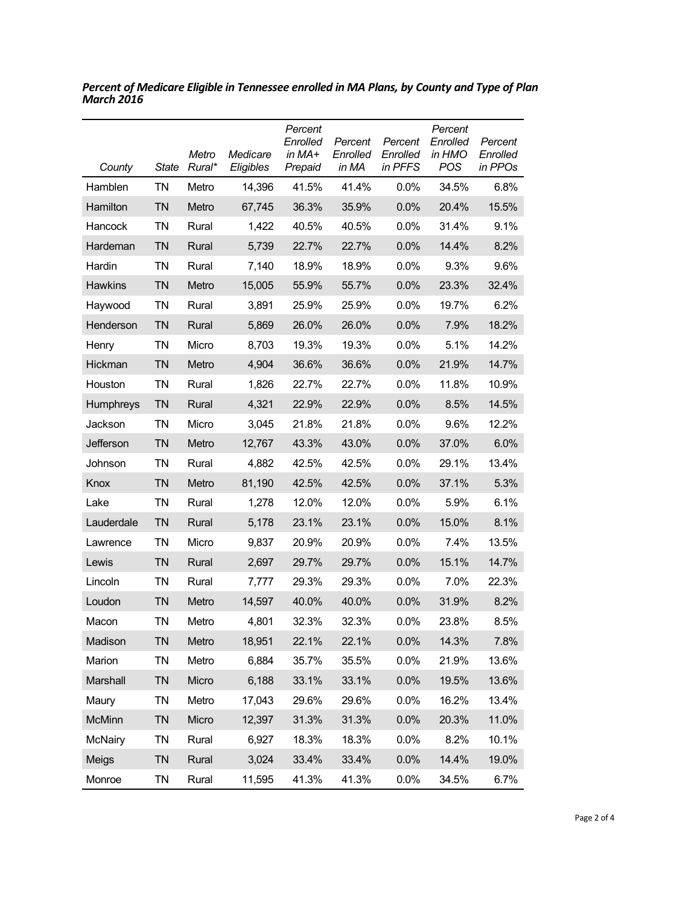| County           | <b>State</b> | Metro<br>Rural* | Medicare<br>Eligibles | Percent<br>Enrolled<br>in MA+<br>Prepaid | Percent<br>Enrolled<br>in MA | Percent<br>Enrolled<br>in PFFS | Percent<br>Enrolled<br>in HMO<br><b>POS</b> | Percent<br>Enrolled<br>in PPOs |
|------------------|--------------|-----------------|-----------------------|------------------------------------------|------------------------------|--------------------------------|---------------------------------------------|--------------------------------|
| Hamblen          | <b>TN</b>    | Metro           | 14,396                | 41.5%                                    | 41.4%                        | $0.0\%$                        | 34.5%                                       | 6.8%                           |
| Hamilton         | <b>TN</b>    | Metro           | 67,745                | 36.3%                                    | 35.9%                        | 0.0%                           | 20.4%                                       | 15.5%                          |
| Hancock          | <b>TN</b>    | Rural           | 1,422                 | 40.5%                                    | 40.5%                        | 0.0%                           | 31.4%                                       | 9.1%                           |
| Hardeman         | <b>TN</b>    | Rural           | 5,739                 | 22.7%                                    | 22.7%                        | 0.0%                           | 14.4%                                       | 8.2%                           |
| Hardin           | <b>TN</b>    | Rural           | 7,140                 | 18.9%                                    | 18.9%                        | 0.0%                           | 9.3%                                        | 9.6%                           |
| <b>Hawkins</b>   | <b>TN</b>    | Metro           | 15,005                | 55.9%                                    | 55.7%                        | 0.0%                           | 23.3%                                       | 32.4%                          |
| Haywood          | <b>TN</b>    | Rural           | 3,891                 | 25.9%                                    | 25.9%                        | 0.0%                           | 19.7%                                       | 6.2%                           |
| Henderson        | <b>TN</b>    | Rural           | 5,869                 | 26.0%                                    | 26.0%                        | 0.0%                           | 7.9%                                        | 18.2%                          |
| Henry            | <b>TN</b>    | Micro           | 8,703                 | 19.3%                                    | 19.3%                        | 0.0%                           | 5.1%                                        | 14.2%                          |
| Hickman          | <b>TN</b>    | Metro           | 4,904                 | 36.6%                                    | 36.6%                        | 0.0%                           | 21.9%                                       | 14.7%                          |
| Houston          | <b>TN</b>    | Rural           | 1,826                 | 22.7%                                    | 22.7%                        | 0.0%                           | 11.8%                                       | 10.9%                          |
| <b>Humphreys</b> | <b>TN</b>    | Rural           | 4,321                 | 22.9%                                    | 22.9%                        | 0.0%                           | 8.5%                                        | 14.5%                          |
| Jackson          | <b>TN</b>    | Micro           | 3,045                 | 21.8%                                    | 21.8%                        | 0.0%                           | 9.6%                                        | 12.2%                          |
| Jefferson        | <b>TN</b>    | Metro           | 12,767                | 43.3%                                    | 43.0%                        | 0.0%                           | 37.0%                                       | 6.0%                           |
| Johnson          | ΤN           | Rural           | 4,882                 | 42.5%                                    | 42.5%                        | 0.0%                           | 29.1%                                       | 13.4%                          |
| Knox             | <b>TN</b>    | Metro           | 81,190                | 42.5%                                    | 42.5%                        | 0.0%                           | 37.1%                                       | 5.3%                           |
| Lake             | <b>TN</b>    | Rural           | 1,278                 | 12.0%                                    | 12.0%                        | $0.0\%$                        | 5.9%                                        | 6.1%                           |
| Lauderdale       | <b>TN</b>    | Rural           | 5,178                 | 23.1%                                    | 23.1%                        | 0.0%                           | 15.0%                                       | 8.1%                           |
| Lawrence         | <b>TN</b>    | Micro           | 9,837                 | 20.9%                                    | 20.9%                        | $0.0\%$                        | 7.4%                                        | 13.5%                          |
| Lewis            | <b>TN</b>    | Rural           | 2,697                 | 29.7%                                    | 29.7%                        | 0.0%                           | 15.1%                                       | 14.7%                          |
| Lincoln          | <b>TN</b>    | Rural           | 7,777                 | 29.3%                                    | 29.3%                        | 0.0%                           | 7.0%                                        | 22.3%                          |
| Loudon           | <b>TN</b>    | Metro           | 14,597                | 40.0%                                    | 40.0%                        | 0.0%                           | 31.9%                                       | 8.2%                           |
| Macon            | TN           | Metro           | 4,801                 | 32.3%                                    | 32.3%                        | 0.0%                           | 23.8%                                       | 8.5%                           |
| Madison          | <b>TN</b>    | Metro           | 18,951                | 22.1%                                    | 22.1%                        | 0.0%                           | 14.3%                                       | 7.8%                           |
| Marion           | <b>TN</b>    | Metro           | 6,884                 | 35.7%                                    | 35.5%                        | 0.0%                           | 21.9%                                       | 13.6%                          |
| Marshall         | <b>TN</b>    | Micro           | 6,188                 | 33.1%                                    | 33.1%                        | 0.0%                           | 19.5%                                       | 13.6%                          |
| Maury            | <b>TN</b>    | Metro           | 17,043                | 29.6%                                    | 29.6%                        | 0.0%                           | 16.2%                                       | 13.4%                          |
| <b>McMinn</b>    | <b>TN</b>    | Micro           | 12,397                | 31.3%                                    | 31.3%                        | 0.0%                           | 20.3%                                       | 11.0%                          |
| <b>McNairy</b>   | <b>TN</b>    | Rural           | 6,927                 | 18.3%                                    | 18.3%                        | 0.0%                           | 8.2%                                        | 10.1%                          |
| Meigs            | <b>TN</b>    | Rural           | 3,024                 | 33.4%                                    | 33.4%                        | 0.0%                           | 14.4%                                       | 19.0%                          |
| Monroe           | <b>TN</b>    | Rural           | 11,595                | 41.3%                                    | 41.3%                        | 0.0%                           | 34.5%                                       | 6.7%                           |

*Percent of Medicare Eligible in Tennessee enrolled in MA Plans, by County and Type of Plan March 2016*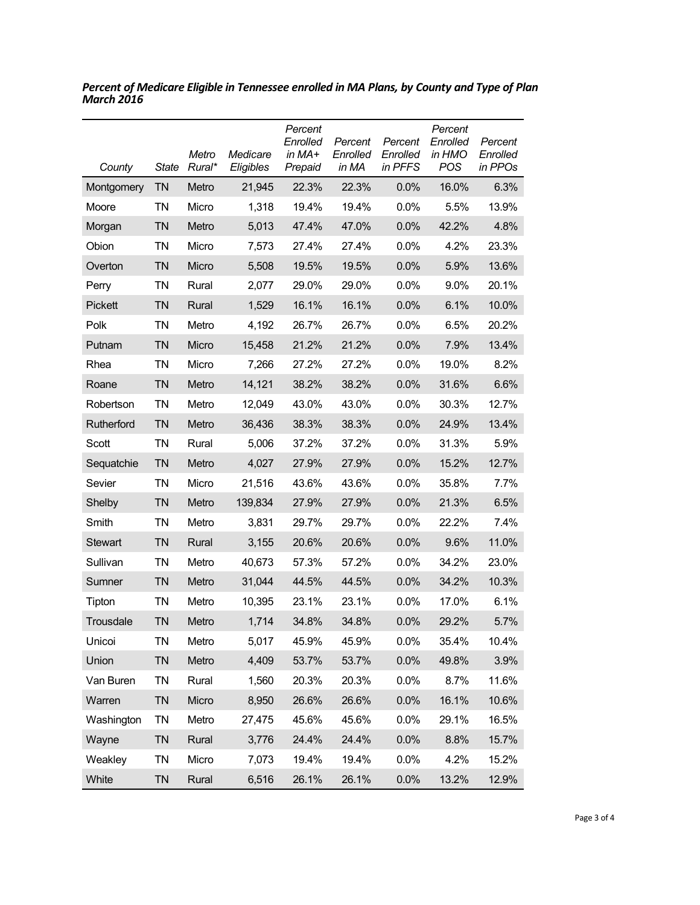| County         | <b>State</b> | Metro<br>Rural* | Medicare<br>Eligibles | Percent<br>Enrolled<br>in MA+<br>Prepaid | Percent<br>Enrolled<br>in MA | Percent<br>Enrolled<br>in PFFS | Percent<br>Enrolled<br>in HMO<br>POS | Percent<br>Enrolled<br>in PPOs |
|----------------|--------------|-----------------|-----------------------|------------------------------------------|------------------------------|--------------------------------|--------------------------------------|--------------------------------|
| Montgomery     | <b>TN</b>    | Metro           | 21,945                | 22.3%                                    | 22.3%                        | 0.0%                           | 16.0%                                | 6.3%                           |
| Moore          | ΤN           | Micro           | 1,318                 | 19.4%                                    | 19.4%                        | 0.0%                           | 5.5%                                 | 13.9%                          |
| Morgan         | <b>TN</b>    | Metro           | 5,013                 | 47.4%                                    | 47.0%                        | 0.0%                           | 42.2%                                | 4.8%                           |
| Obion          | <b>TN</b>    | Micro           | 7,573                 | 27.4%                                    | 27.4%                        | 0.0%                           | 4.2%                                 | 23.3%                          |
| Overton        | <b>TN</b>    | Micro           | 5,508                 | 19.5%                                    | 19.5%                        | 0.0%                           | 5.9%                                 | 13.6%                          |
| Perry          | <b>TN</b>    | Rural           | 2,077                 | 29.0%                                    | 29.0%                        | 0.0%                           | 9.0%                                 | 20.1%                          |
| Pickett        | <b>TN</b>    | Rural           | 1,529                 | 16.1%                                    | 16.1%                        | 0.0%                           | 6.1%                                 | 10.0%                          |
| Polk           | <b>TN</b>    | Metro           | 4,192                 | 26.7%                                    | 26.7%                        | 0.0%                           | 6.5%                                 | 20.2%                          |
| Putnam         | <b>TN</b>    | Micro           | 15,458                | 21.2%                                    | 21.2%                        | 0.0%                           | 7.9%                                 | 13.4%                          |
| Rhea           | <b>TN</b>    | Micro           | 7,266                 | 27.2%                                    | 27.2%                        | 0.0%                           | 19.0%                                | 8.2%                           |
| Roane          | <b>TN</b>    | Metro           | 14,121                | 38.2%                                    | 38.2%                        | 0.0%                           | 31.6%                                | 6.6%                           |
| Robertson      | <b>TN</b>    | Metro           | 12,049                | 43.0%                                    | 43.0%                        | 0.0%                           | 30.3%                                | 12.7%                          |
| Rutherford     | <b>TN</b>    | Metro           | 36,436                | 38.3%                                    | 38.3%                        | 0.0%                           | 24.9%                                | 13.4%                          |
| Scott          | <b>TN</b>    | Rural           | 5,006                 | 37.2%                                    | 37.2%                        | 0.0%                           | 31.3%                                | 5.9%                           |
| Sequatchie     | <b>TN</b>    | Metro           | 4,027                 | 27.9%                                    | 27.9%                        | 0.0%                           | 15.2%                                | 12.7%                          |
| Sevier         | <b>TN</b>    | Micro           | 21,516                | 43.6%                                    | 43.6%                        | 0.0%                           | 35.8%                                | 7.7%                           |
| Shelby         | <b>TN</b>    | Metro           | 139,834               | 27.9%                                    | 27.9%                        | 0.0%                           | 21.3%                                | 6.5%                           |
| Smith          | ΤN           | Metro           | 3,831                 | 29.7%                                    | 29.7%                        | $0.0\%$                        | 22.2%                                | 7.4%                           |
| <b>Stewart</b> | <b>TN</b>    | Rural           | 3,155                 | 20.6%                                    | 20.6%                        | 0.0%                           | 9.6%                                 | 11.0%                          |
| Sullivan       | ΤN           | Metro           | 40,673                | 57.3%                                    | 57.2%                        | 0.0%                           | 34.2%                                | 23.0%                          |
| Sumner         | <b>TN</b>    | Metro           | 31,044                | 44.5%                                    | 44.5%                        | 0.0%                           | 34.2%                                | 10.3%                          |
| Tipton         | ΤN           | Metro           | 10,395                | 23.1%                                    | 23.1%                        | 0.0%                           | 17.0%                                | 6.1%                           |
| Trousdale      | <b>TN</b>    | Metro           | 1,714                 | 34.8%                                    | 34.8%                        | 0.0%                           | 29.2%                                | 5.7%                           |
| Unicoi         | <b>TN</b>    | Metro           | 5,017                 | 45.9%                                    | 45.9%                        | 0.0%                           | 35.4%                                | 10.4%                          |
| Union          | <b>TN</b>    | Metro           | 4,409                 | 53.7%                                    | 53.7%                        | 0.0%                           | 49.8%                                | 3.9%                           |
| Van Buren      | <b>TN</b>    | Rural           | 1,560                 | 20.3%                                    | 20.3%                        | $0.0\%$                        | 8.7%                                 | 11.6%                          |
| Warren         | <b>TN</b>    | Micro           | 8,950                 | 26.6%                                    | 26.6%                        | 0.0%                           | 16.1%                                | 10.6%                          |
| Washington     | <b>TN</b>    | Metro           | 27,475                | 45.6%                                    | 45.6%                        | 0.0%                           | 29.1%                                | 16.5%                          |
| Wayne          | <b>TN</b>    | Rural           | 3,776                 | 24.4%                                    | 24.4%                        | 0.0%                           | 8.8%                                 | 15.7%                          |
| Weakley        | <b>TN</b>    | Micro           | 7,073                 | 19.4%                                    | 19.4%                        | 0.0%                           | 4.2%                                 | 15.2%                          |
| White          | <b>TN</b>    | Rural           | 6,516                 | 26.1%                                    | 26.1%                        | 0.0%                           | 13.2%                                | 12.9%                          |

*Percent of Medicare Eligible in Tennessee enrolled in MA Plans, by County and Type of Plan March 2016*